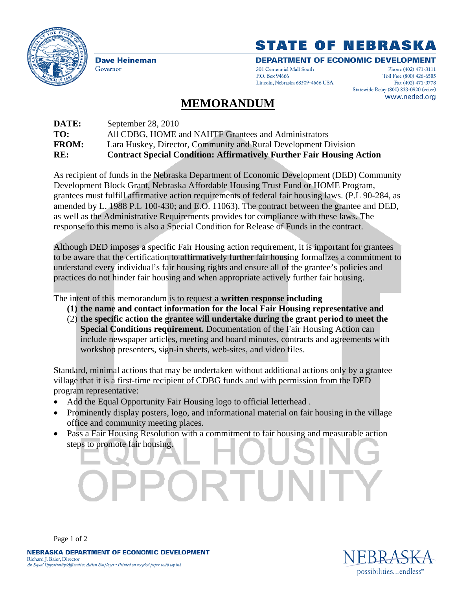

**Dave Heineman** Governor

## **STATE OF NEBRASKA**

**DEPARTMENT OF ECONOMIC DEVELOPMENT** 301 Centennial Mall South P.O. Box 94666 Lincoln, Nebraska 68509-4666 USA

Phone (402) 471-3111 Toll Free (800) 426-6505 Fax (402) 471-3778 Statewide Relay (800) 833-0920 (voice) www.neded.org

## **MEMORANDUM**

| DATE:        | September 28, 2010                                                           |
|--------------|------------------------------------------------------------------------------|
| TO:          | All CDBG, HOME and NAHTF Grantees and Administrators                         |
| <b>FROM:</b> | Lara Huskey, Director, Community and Rural Development Division              |
| RE:          | <b>Contract Special Condition: Affirmatively Further Fair Housing Action</b> |

As recipient of funds in the Nebraska Department of Economic Development (DED) Community Development Block Grant, Nebraska Affordable Housing Trust Fund or HOME Program, grantees must fulfill affirmative action requirements of federal fair housing laws. (P.L 90-284, as amended by L. 1988 P.L 100-430; and E.O. 11063). The contract between the grantee and DED, as well as the Administrative Requirements provides for compliance with these laws. The response to this memo is also a Special Condition for Release of Funds in the contract.

Although DED imposes a specific Fair Housing action requirement, it is important for grantees to be aware that the certification to affirmatively further fair housing formalizes a commitment to understand every individual's fair housing rights and ensure all of the grantee's policies and practices do not hinder fair housing and when appropriate actively further fair housing.

The intent of this memorandum is to request **a written response including** 

- **(1) the name and contact information for the local Fair Housing representative and**
- (2) **the specific action the grantee will undertake during the grant period to meet the Special Conditions requirement.** Documentation of the Fair Housing Action can include newspaper articles, meeting and board minutes, contracts and agreements with workshop presenters, sign-in sheets, web-sites, and video files.

Standard, minimal actions that may be undertaken without additional actions only by a grantee village that it is a first-time recipient of CDBG funds and with permission from the DED program representative:

- Add the Equal Opportunity Fair Housing logo to official letterhead.
- Prominently display posters, logo, and informational material on fair housing in the village office and community meeting places.
- Pass a Fair Housing Resolution with a commitment to fair housing and measurable action steps to promote fair housing.

1 U H



Page 1 of 2